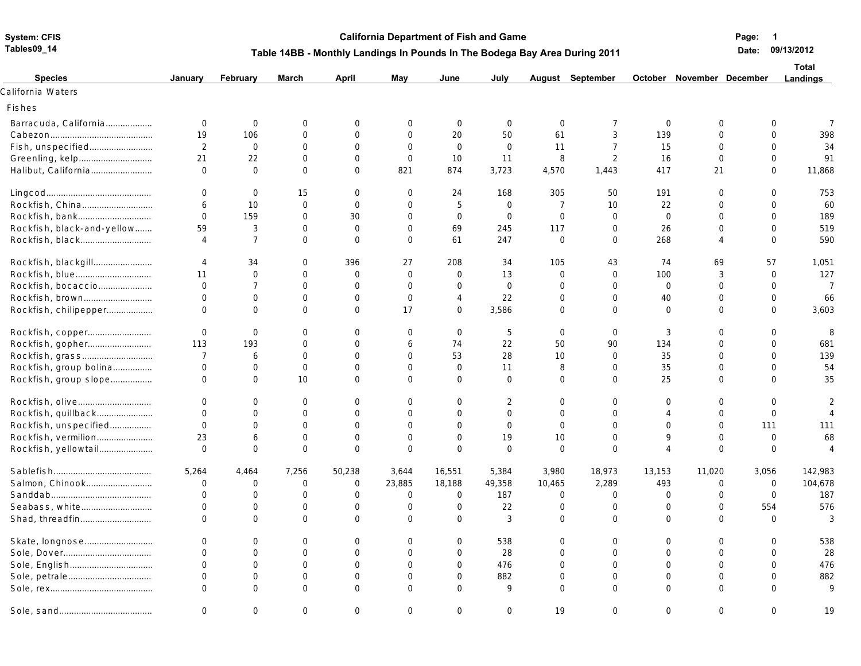**Tables09\_14**

## **System: CFIS CRIS CALL CONSTRANTS CALL CONSTRANTS CALL CONSTRANTS CALL CONSTRANTS CALL CONSTRANTS CALL CONSTRANTS CALL CONSTRANTS CALL CONSTRANTS CONSTRANTS CONSTRANTS CONSTRANTS CONSTRANTS CONSTRANTS CONSTRANTS CONST**

**Page: 1** 

## **Table 14BB - Monthly Landings In Pounds In The Bodega Bay Area During 2011**

**Date: 09/13/2012**

| <b>Species</b>             | January        | February       | March          | April          | May          | June           | July           |                | August September |                | October November December |                | <b>Total</b><br><b>Landings</b> |
|----------------------------|----------------|----------------|----------------|----------------|--------------|----------------|----------------|----------------|------------------|----------------|---------------------------|----------------|---------------------------------|
| California Waters          |                |                |                |                |              |                |                |                |                  |                |                           |                |                                 |
| Fishes                     |                |                |                |                |              |                |                |                |                  |                |                           |                |                                 |
| Barracuda, California      | $\mathbf 0$    | $\mathbf 0$    | $\mathbf 0$    | $\Omega$       | $\mathbf 0$  | $\mathbf 0$    | $\mathbf 0$    | $\overline{0}$ | $\overline{7}$   | $\overline{0}$ | $\overline{0}$            | $\mathbf 0$    | $\overline{7}$                  |
|                            | 19             | 106            | $\mathbf 0$    | $\Omega$       | $\mathbf 0$  | 20             | 50             | 61             | 3                | 139            | $\Omega$                  | $\mathbf 0$    | 398                             |
| Fish, unspecified          | 2              | $\overline{0}$ | $\Omega$       | $\Omega$       | $\Omega$     | $\Omega$       | $\Omega$       | 11             | $\overline{7}$   | 15             | $\Omega$                  | $\Omega$       | 34                              |
|                            | 21             | 22             | $\mathbf 0$    | $\Omega$       | $\Omega$     | 10             | 11             | 8              | 2                | 16             | $\Omega$                  | $\Omega$       | 91                              |
| Halibut, California        | $\mathbf 0$    | $\Omega$       | $\Omega$       | $\Omega$       | 821          | 874            | 3,723          | 4,570          | 1,443            | 417            | 21                        | $\Omega$       | 11,868                          |
|                            | $\mathbf 0$    | $\overline{0}$ | 15             | $\Omega$       | $\mathbf 0$  | 24             | 168            | 305            | 50               | 191            | $\Omega$                  | $\mathbf 0$    | 753                             |
| Rockfish, China            | 6              | 10             | $\mathbf 0$    | $\Omega$       | $\Omega$     | 5              | $\mathbf 0$    | $\overline{7}$ | 10               | 22             | $\Omega$                  | $\Omega$       | 60                              |
| Rockfish, bank             | $\Omega$       | 159            | $\overline{0}$ | 30             | $\Omega$     | $\overline{0}$ | $\mathbf{0}$   | $\overline{0}$ | $\mathbf 0$      | $\Omega$       | $\Omega$                  | $\Omega$       | 189                             |
| Rockfish, black-and-yellow | 59             | 3              | $\mathbf 0$    | $\overline{0}$ | $\mathbf{0}$ | 69             | 245            | 117            | $\mathbf 0$      | 26             | $\Omega$                  | $\Omega$       | 519                             |
|                            | $\overline{4}$ | $\overline{7}$ | $\Omega$       | $\Omega$       | $\Omega$     | 61             | 247            | $\Omega$       | $\Omega$         | 268            |                           | $\Omega$       | 590                             |
| Rockfish, blackgill        | $\overline{4}$ | 34             | $\mathbf 0$    | 396            | 27           | 208            | 34             | 105            | 43               | 74             | 69                        | 57             | 1,051                           |
|                            | 11             | $\overline{0}$ | $\mathbf 0$    | $\mathbf 0$    | $\mathbf 0$  | $\mathbf 0$    | 13             | $\mathbf 0$    | $\mathbf 0$      | 100            | 3                         | $\mathbf 0$    | 127                             |
| Rockfish, bocaccio         | $\Omega$       | $\overline{7}$ | $\mathbf 0$    | $\Omega$       | $\Omega$     | $\overline{0}$ | $\overline{0}$ | $\Omega$       | $\Omega$         | $\Omega$       | $\Omega$                  | $\Omega$       | $\overline{7}$                  |
| Rockfish, brown            | $\Omega$       | $\overline{0}$ | $\mathbf 0$    | $\overline{0}$ | $\mathbf{0}$ | 4              | 22             | $\Omega$       | $\mathbf 0$      | 40             | $\Omega$                  | $\overline{0}$ | 66                              |
| Rockfish, chilipepper      | $\Omega$       | $\overline{0}$ | $\Omega$       | $\Omega$       | 17           | $\mathbf 0$    | 3,586          | $\Omega$       | $\Omega$         | $\Omega$       | $\Omega$                  | $\Omega$       | 3,603                           |
| Rockfish, copper           | $\mathbf 0$    | $\mathbf 0$    | $\mathbf 0$    | $\Omega$       | $\Omega$     | $\overline{0}$ | 5              | $\overline{0}$ | $\mathbf 0$      | 3              | $\Omega$                  | $\Omega$       | 8                               |
| Rockfish, gopher           | 113            | 193            | $\overline{0}$ | $\mathbf 0$    | 6            | 74             | 22             | 50             | 90               | 134            | 0                         | $\overline{0}$ | 681                             |
|                            | $\overline{7}$ | 6              | $\overline{0}$ | $\Omega$       | $\Omega$     | 53             | 28             | 10             | $\Omega$         | 35             | $\Omega$                  | $\Omega$       | 139                             |
| Rockfish, group bolina     | $\mathbf 0$    | $\mathbf 0$    | $\mathbf 0$    | $\mathbf 0$    | $\mathbf 0$  | $\overline{0}$ | 11             | 8              | $\mathbf 0$      | 35             | $\Omega$                  | $\Omega$       | 54                              |
| Rockfish, group slope      | $\Omega$       | $\Omega$       | 10             | $\Omega$       | $\Omega$     | $\Omega$       | $\Omega$       | $\Omega$       | $\Omega$         | 25             | $\Omega$                  | $\Omega$       | 35                              |
|                            | $\mathbf 0$    | $\mathbf 0$    | $\mathbf 0$    | $\Omega$       | $\Omega$     | 0              | 2              | $\overline{0}$ | $\mathbf 0$      | $\Omega$       | $\mathbf{0}$              | $\mathbf 0$    |                                 |
| Rockfish, quillback        | $\Omega$       | $\mathbf 0$    | $\mathbf 0$    | $\Omega$       | $\mathbf 0$  | 0              | $\mathbf{0}$   | $\Omega$       | $\mathbf 0$      | $\Delta$       | $\overline{0}$            | $\overline{0}$ | $\Delta$                        |
| Rockfish, unspecified      | $\Omega$       | $\Omega$       | $\mathbf 0$    | $\Omega$       | $\Omega$     | $\Omega$       | $\Omega$       | $\Omega$       | $\mathbf 0$      | $\Omega$       | $\Omega$                  | 111            | 111                             |
| Rockfish, vermilion        | 23             | 6              | $\mathbf 0$    | $\Omega$       | $\mathbf 0$  | $\mathbf{0}$   | 19             | 10             | $\mathbf 0$      | $\mathsf{Q}$   | $\overline{0}$            | $\mathbf 0$    | 68                              |
| Rockfish, yellowtail       | $\Omega$       | $\Omega$       | $\mathbf 0$    | $\Omega$       | $\Omega$     | $\Omega$       | $\Omega$       | $\Omega$       | $\Omega$         | $\Delta$       | $\Omega$                  | $\Omega$       | $\Delta$                        |
|                            | 5,264          | 4,464          | 7,256          | 50,238         | 3,644        | 16,551         | 5,384          | 3,980          | 18,973           | 13,153         | 11,020                    | 3,056          | 142,983                         |
| Salmon, Chinook            | 0              | $\overline{0}$ | 0              | $\mathbf 0$    | 23,885       | 18,188         | 49,358         | 10,465         | 2,289            | 493            | 0                         | 0              | 104,678                         |
|                            | $\Omega$       | $\mathbf 0$    | $\overline{0}$ | $\Omega$       | $\mathbf{0}$ | $\overline{0}$ | 187            | $\overline{0}$ | $\mathbf 0$      | $\Omega$       | $\overline{0}$            | $\mathbf 0$    | 187                             |
| Seabass, white             | $\mathbf 0$    | $\mathbf 0$    | $\mathbf 0$    | $\mathbf 0$    | $\mathbf 0$  | 0              | 22             | $\overline{0}$ | $\mathbf 0$      | $\mathbf 0$    | $\mathbf 0$               | 554            | 576                             |
|                            | $\Omega$       | $\overline{0}$ | $\mathbf 0$    | $\Omega$       | $\Omega$     | $\mathbf{0}$   | 3              | $\Omega$       | $\Omega$         | $\Omega$       | $\Omega$                  | $\Omega$       | 3                               |
| Skate, longnose            | $\Omega$       | $\mathbf 0$    | $\mathbf 0$    | $\Omega$       | $\Omega$     | 0              | 538            | $\Omega$       | $\mathbf{0}$     | $\Omega$       | $\Omega$                  | $\mathbf 0$    | 538                             |
|                            | $\Omega$       | $\mathbf 0$    | $\mathbf 0$    | $\Omega$       | $\Omega$     | 0              | 28             | $\Omega$       | $\mathbf 0$      | $\Omega$       | $\Omega$                  | $\Omega$       | 28                              |
|                            | $\Omega$       | $\overline{0}$ | $\mathbf 0$    | $\Omega$       | $\Omega$     | $\overline{0}$ | 476            | $\Omega$       | $\Omega$         | $\Omega$       | $\Omega$                  | $\mathbf 0$    | 476                             |
|                            | $\Omega$       | $\mathbf 0$    | $\mathbf 0$    | $\Omega$       | $\mathbf{O}$ | $\mathbf 0$    | 882            | $\Omega$       | $\mathbf{0}$     | $\Omega$       | $\overline{0}$            | $\Omega$       | 882                             |
|                            | $\Omega$       | $\Omega$       | $\Omega$       | $\Omega$       | $\Omega$     | $\Omega$       | 9              | $\Omega$       | $\Omega$         | $\cap$         | $\Omega$                  | $\Omega$       |                                 |
|                            | $\Omega$       | $\Omega$       | $\Omega$       | $\Omega$       | $\Omega$     | $\Omega$       | $\Omega$       | 19             | $\Omega$         | $\cap$         | 0                         | $\Omega$       | 19                              |